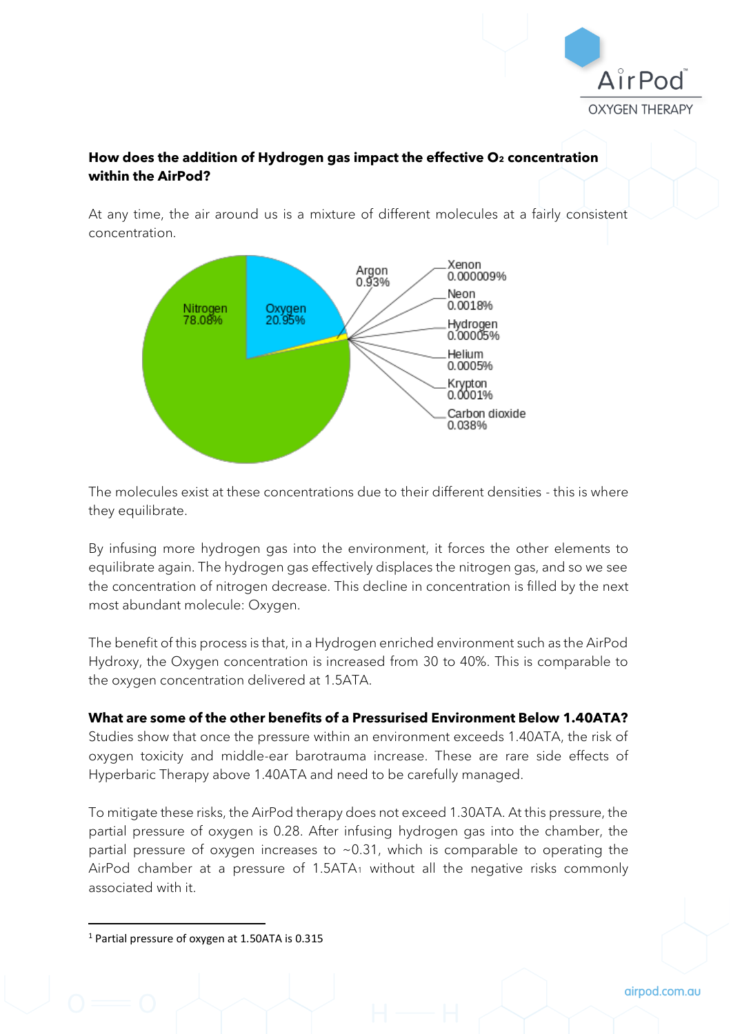

## **How does the addition of Hydrogen gas impact the effective O<sup>2</sup> concentration within the AirPod?**

At any time, the air around us is a mixture of different molecules at a fairly consistent concentration.



The molecules exist at these concentrations due to their different densities - this is where they equilibrate.

By infusing more hydrogen gas into the environment, it forces the other elements to equilibrate again. The hydrogen gas effectively displaces the nitrogen gas, and so we see the concentration of nitrogen decrease. This decline in concentration is filled by the next most abundant molecule: Oxygen.

The benefit of this process is that, in a Hydrogen enriched environment such as the AirPod Hydroxy, the Oxygen concentration is increased from 30 to 40%. This is comparable to the oxygen concentration delivered at 1.5ATA.

#### **What are some of the other benefits of a Pressurised Environment Below 1.40ATA?**

Studies show that once the pressure within an environment exceeds 1.40ATA, the risk of oxygen toxicity and middle-ear barotrauma increase. These are rare side effects of Hyperbaric Therapy above 1.40ATA and need to be carefully managed.

To mitigate these risks, the AirPod therapy does not exceed 1.30ATA. At this pressure, the partial pressure of oxygen is 0.28. After infusing hydrogen gas into the chamber, the partial pressure of oxygen increases to  $\sim$  0.31, which is comparable to operating the AirPod chamber at a pressure of 1.5ATA<sup>1</sup> without all the negative risks commonly associated with it.

<sup>1</sup> Partial pressure of oxygen at 1.50ATA is 0.315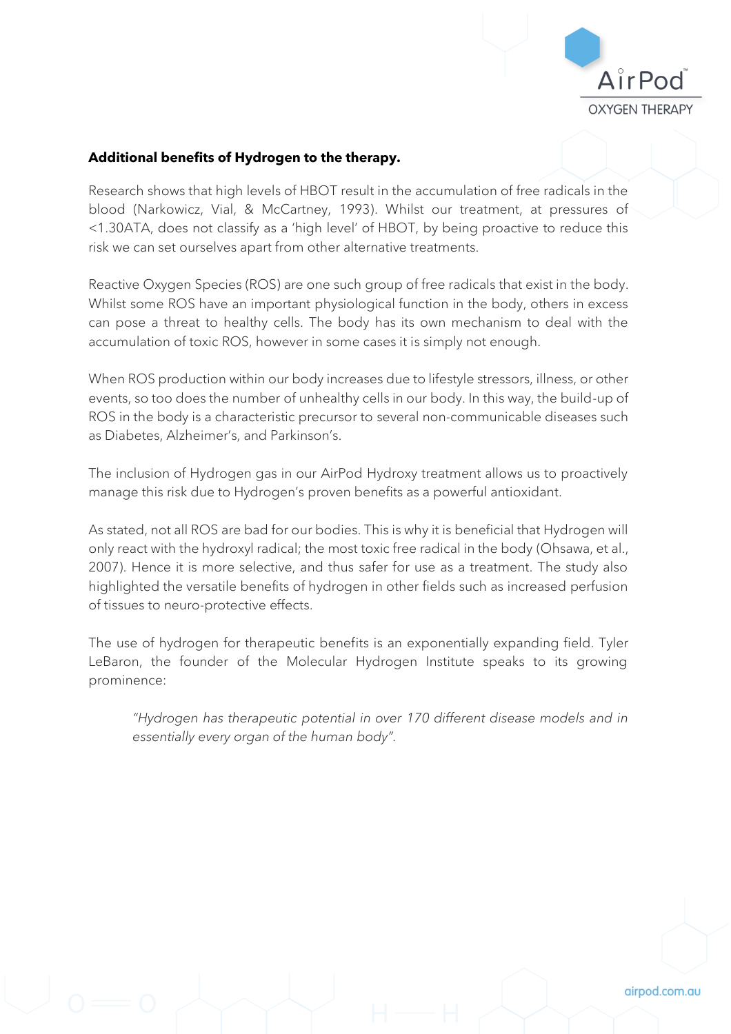

### **Additional benefits of Hydrogen to the therapy.**

Research shows that high levels of HBOT result in the accumulation of free radicals in the blood (Narkowicz, Vial, & McCartney, 1993). Whilst our treatment, at pressures of <1.30ATA, does not classify as a 'high level' of HBOT, by being proactive to reduce this risk we can set ourselves apart from other alternative treatments.

Reactive Oxygen Species (ROS) are one such group of free radicals that exist in the body. Whilst some ROS have an important physiological function in the body, others in excess can pose a threat to healthy cells. The body has its own mechanism to deal with the accumulation of toxic ROS, however in some cases it is simply not enough.

When ROS production within our body increases due to lifestyle stressors, illness, or other events, so too does the number of unhealthy cells in our body. In this way, the build-up of ROS in the body is a characteristic precursor to several non-communicable diseases such as Diabetes, Alzheimer's, and Parkinson's.

The inclusion of Hydrogen gas in our AirPod Hydroxy treatment allows us to proactively manage this risk due to Hydrogen's proven benefits as a powerful antioxidant.

As stated, not all ROS are bad for our bodies. This is why it is beneficial that Hydrogen will only react with the hydroxyl radical; the most toxic free radical in the body (Ohsawa, et al., 2007). Hence it is more selective, and thus safer for use as a treatment. The study also highlighted the versatile benefits of hydrogen in other fields such as increased perfusion of tissues to neuro-protective effects.

The use of hydrogen for therapeutic benefits is an exponentially expanding field. Tyler LeBaron, the founder of the Molecular Hydrogen Institute speaks to its growing prominence:

*"Hydrogen has therapeutic potential in over 170 different disease models and in essentially every organ of the human body".*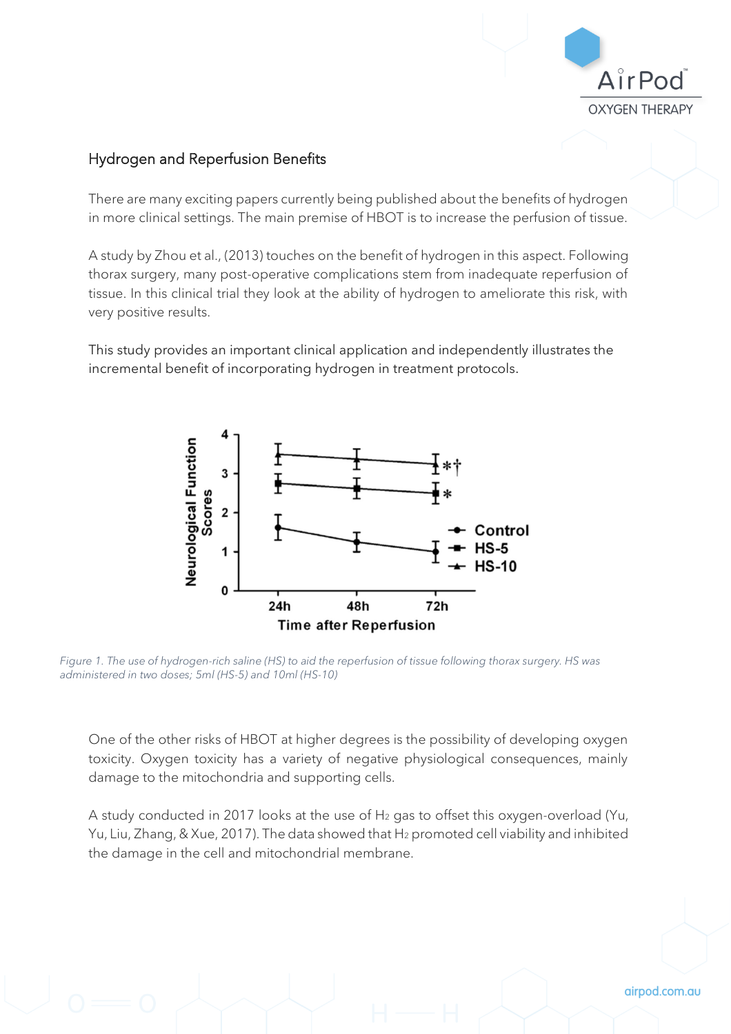

# Hydrogen and Reperfusion Benefits

There are many exciting papers currently being published about the benefits of hydrogen in more clinical settings. The main premise of HBOT is to increase the perfusion of tissue.

A study by Zhou et al., (2013) touches on the benefit of hydrogen in this aspect. Following thorax surgery, many post-operative complications stem from inadequate reperfusion of tissue. In this clinical trial they look at the ability of hydrogen to ameliorate this risk, with very positive results.

This study provides an important clinical application and independently illustrates the incremental benefit of incorporating hydrogen in treatment protocols.



*Figure 1. The use of hydrogen-rich saline (HS) to aid the reperfusion of tissue following thorax surgery. HS was administered in two doses; 5ml (HS-5) and 10ml (HS-10)*

One of the other risks of HBOT at higher degrees is the possibility of developing oxygen toxicity. Oxygen toxicity has a variety of negative physiological consequences, mainly damage to the mitochondria and supporting cells.

A study conducted in 2017 looks at the use of H<sub>2</sub> gas to offset this oxygen-overload (Yu, Yu, Liu, Zhang, & Xue, 2017). The data showed that H<sup>2</sup> promoted cell viability and inhibited the damage in the cell and mitochondrial membrane.